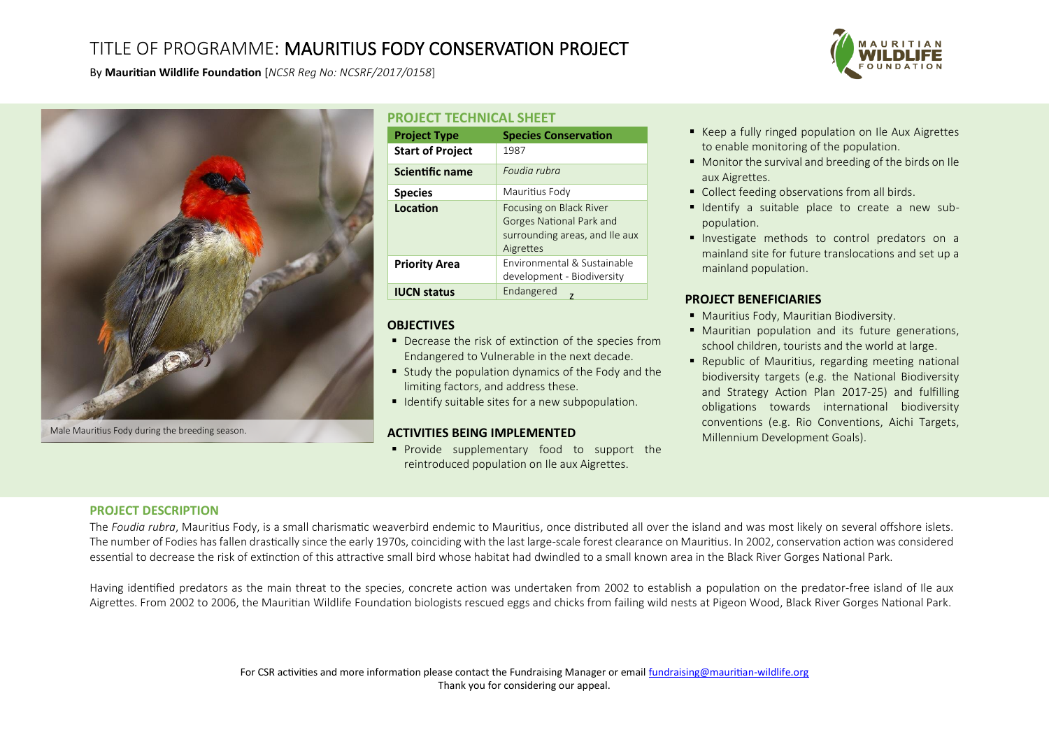# TITLE OF PROGRAMME: MAURITIUS FODY CONSERVATION PROJECT



By **Mauritian Wildlife Foundation** [*NCSR Reg No: NCSRF/2017/0158*]



Male Mauritius Fody during the breeding season.

### **PROJECT TECHNICAL SHEET**

| <b>Project Type</b>     | <b>Species Conservation</b>                                                                        |
|-------------------------|----------------------------------------------------------------------------------------------------|
| <b>Start of Project</b> | 1987                                                                                               |
| <b>Scientific name</b>  | Foudia rubra                                                                                       |
| <b>Species</b>          | Mauritius Fody                                                                                     |
| Location                | Focusing on Black River<br>Gorges National Park and<br>surrounding areas, and Ile aux<br>Aigrettes |
| <b>Priority Area</b>    | Fnvironmental & Sustainable<br>development - Biodiversity                                          |
| <b>IUCN status</b>      | Endangered<br>7                                                                                    |

## **OBJECTIVES**

- Decrease the risk of extinction of the species from Endangered to Vulnerable in the next decade.
- Study the population dynamics of the Fody and the limiting factors, and address these.
- Identify suitable sites for a new subpopulation.

### **ACTIVITIES BEING IMPLEMENTED**

**•** Provide supplementary food to support the reintroduced population on Ile aux Aigrettes.

- Keep a fully ringed population on Ile Aux Aigrettes to enable monitoring of the population.
- Monitor the survival and breeding of the birds on Ile aux Aigrettes.
- Collect feeding observations from all birds.
- **E** Identify a suitable place to create a new subpopulation.
- Investigate methods to control predators on a mainland site for future translocations and set up a mainland population.

## **PROJECT BENEFICIARIES**

- Mauritius Fody, Mauritian Biodiversity.
- Mauritian population and its future generations, school children, tourists and the world at large.
- Republic of Mauritius, regarding meeting national biodiversity targets (e.g. the National Biodiversity and Strategy Action Plan 2017-25) and fulfilling obligations towards international biodiversity conventions (e.g. Rio Conventions, Aichi Targets, Millennium Development Goals).

### **PROJECT DESCRIPTION**

The *Foudia rubra*, Mauritius Fody, is a small charismatic weaverbird endemic to Mauritius, once distributed all over the island and was most likely on several offshore islets. The number of Fodies has fallen drastically since the early 1970s, coinciding with the last large-scale forest clearance on Mauritius. In 2002, conservation action was considered essential to decrease the risk of extinction of this attractive small bird whose habitat had dwindled to a small known area in the Black River Gorges National Park.

Having identified predators as the main threat to the species, concrete action was undertaken from 2002 to establish a population on the predator-free island of Ile aux Aigrettes. From 2002 to 2006, the Mauritian Wildlife Foundation biologists rescued eggs and chicks from failing wild nests at Pigeon Wood, Black River Gorges National Park.